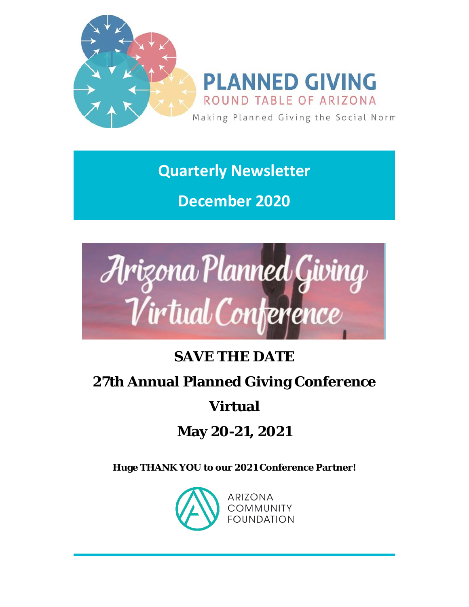

**Quarterly Newsletter**

**December 2020**



## **SAVE THE DATE**

### **27th Annual Planned Giving Conference**

## **Virtual**

## **May 20-21, 2021**

**Huge TH[ANK YOU to our 2021 Conferenc](https://pgrtaz.org/EmailTracker/LinkTracker.ashx?linkAndRecipientCode=gQYEZ6d%2fxpKZBQGzEba%2fT1hNtcf5UW0TMmExnj5Fe7BQTJhiEHK9EqFIvhm2CVAJczni%2fEeiRin9NE8wjsq5atnMxfYw8BAO4b6FL0J34cI%3d)e Partner!**

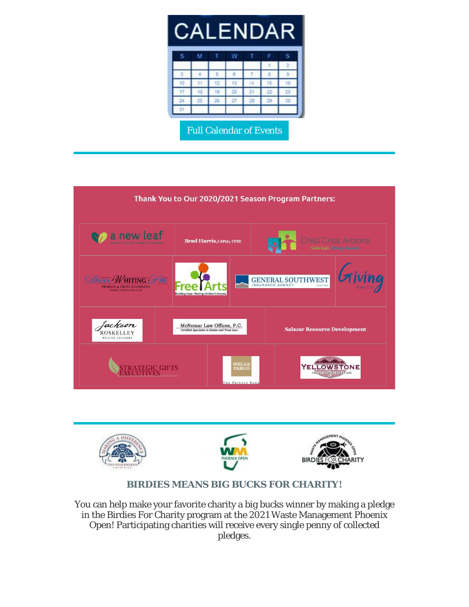|  |  |  | <b>CALENDAR</b>           |
|--|--|--|---------------------------|
|  |  |  | <u>in a real property</u> |

|    | м       |    | w  |         |    |     |  |
|----|---------|----|----|---------|----|-----|--|
|    |         |    |    |         |    | ٠   |  |
|    | ı       |    | 6  | ,       | B  | ۰   |  |
| 10 | 11      | 12 | ß  | 14      | is | j6  |  |
| 17 | 18<br>۶ | 19 | 26 | $_{21}$ | 22 | 23  |  |
| 24 | 25      | 28 | 27 | $-28$   | 29 | 30  |  |
| 31 |         |    |    |         |    |     |  |
|    |         |    |    |         | ٠  | . . |  |

[Full Calendar of Events](https://pgrtaz.org/EmailTracker/LinkTracker.ashx?linkAndRecipientCode=SqZdHiFCLiIWSiV8Rz%2fG7GGNrdEoMF%2bXMUrl37Zapqn5SPXTAYCJDnr%2fjL7LPROt8pDj%2bDEXng7WbhJqGEwg1opxR8up6tGuWw8%2fufuis6U%3d) 





#### *BIRDIES MEANS BIG BUCKS FOR CHARITY!*

You can help make your favorite charity a big bucks winner by making a pledge in the Birdies For Charity program at the 2021 Waste Management Phoenix Open! Participating charities will receive every single penny of collected pledges.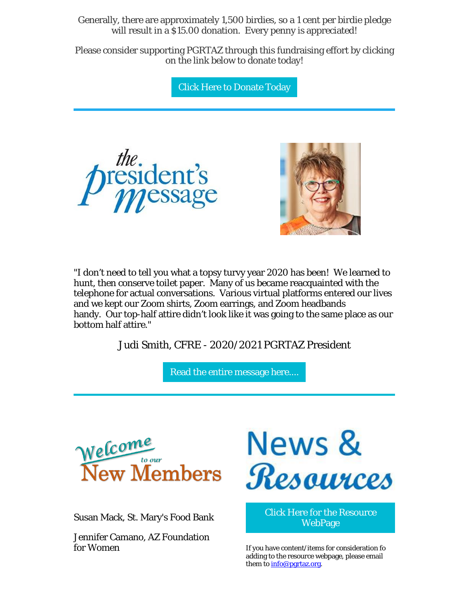Generally, there are approximately 1,500 birdies, so a 1 cent per birdie pledge will result in a \$15.00 donation. Every penny is appreciated!

Please consider supporting PGRTAZ through this fundraising effort by clicking on the link below to donate today!

[Click Here to Donate Today](https://pgrtaz.org/EmailTracker/LinkTracker.ashx?linkAndRecipientCode=YyXEhmydhPgEZ%2b3acA%2fNYjU9M7PrNzViCzmOwFN2AysiaZQNhqiEWFvTrCMreZuoYmraJKpU4ZOgQsi9VumSAuhlP5eubIG4R6kxKuXGe50%3d) 





"I don't need to tell you what a topsy turvy year 2020 has been! We learned to hunt, then conserve toilet paper. Many of us became reacquainted with the telephone for actual conversations. Various virtual platforms entered our lives and we kept our Zoom shirts, Zoom earrings, and Zoom headbands handy. Our top-half attire didn't look like it was going to the same place as our bottom half attire."

Judi Smith, CFRE - 2020/2021 PGRTAZ President

[Read the entire message here....](https://pgrtaz.org/EmailTracker/LinkTracker.ashx?linkAndRecipientCode=GVyJ8gII%2fqJuKvFv4ZbpmyVkZn5A4RE09BfdhI%2fCbv1EYW39oYQbicvVaHsM%2bKaX%2fw3ypWw%2bQDGA5XVMMGlSJZbn55z3i4YPJ7cSEeLvwYs%3d) 



Susan Mack, St. Mary's Food Bank

Jennifer Camano, AZ Foundation for Women



[Click Here for the Resource](https://pgrtaz.org/EmailTracker/LinkTracker.ashx?linkAndRecipientCode=dXJbHYtnC%2bBCdvbt41TYwqcCkWSkqiSHVTUKKckxUmNfaaK5AImerkw4IHIyUrZgcVKRBFdgQPecnPYj%2fBMrmMadFLJ0kksoLpcW9wIYp6E%3d)  **WebPage** 

If you have content/items for consideration fo adding to the resource webpage, please email them to **info@pgrtaz.org**.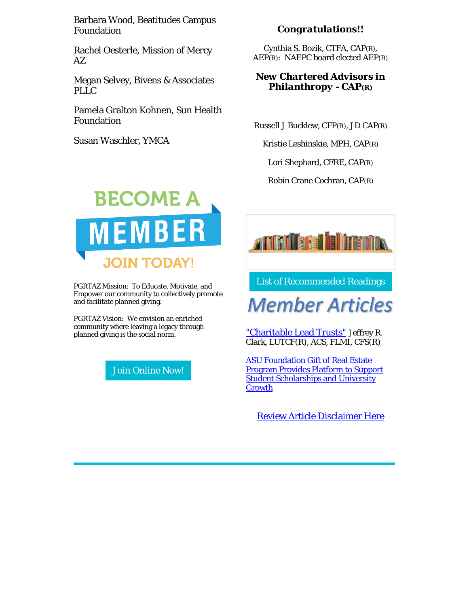Barbara Wood, Beatitudes Campus Foundation

Rachel Oesterle, Mission of Mercy  $AZ$ 

Megan Selvey, Bivens & Associates PLLC

Pamela Gralton Kohnen, Sun Health Foundation

Susan Waschler, YMCA

#### *Congratulations!!*

Cynthia S. Bozik, CTFA, CAP(R), AEP(R): NAEPC board elected AEP(R)

#### *New Chartered Advisors in Philanthropy - CAP(R)*

Russell J Bucklew, CFP(R), JD CAP(R)

Kristie Leshinskie, MPH, CAP(R)

Lori Shephard, CFRE, CAP(R)

Robin Crane Cochran, CAP(R)



PGRTAZ Mission: To Educate, Motivate, and Empower our community to collectively promote and facilitate planned giving.

PGRTAZ Vision: We envision an enriched community where leaving a legacy through planned giving is the social norm.

[Join Online Now!](https://pgrtaz.org/EmailTracker/LinkTracker.ashx?linkAndRecipientCode=w6YxKsSpK%2bIWGM9YUsNyHu9pyHVJGU%2fDT7RGnsGUS611nS%2farjQnFecBMXbajZP0nc%2b%2f6fzrzncsnjXkYK9WYg8iIWP%2b%2f9J%2b5NWVqEpoYtU%3d) 



[List of Recommended Readings](https://pgrtaz.org/EmailTracker/LinkTracker.ashx?linkAndRecipientCode=6O5V5zVfLvF0KBH9OgtPfiPNvw3zOnfflmvbnmyKojXvO1gm1JEymRanJlbyAdRjgPpyDrmPQ12ORh8r6yIKdRF0wNSAd7iKXkb0w0Nu1Ho%3d) 

# **Member Articles**

["Charitable Lead Trusts"](https://pgrtaz.org/EmailTracker/LinkTracker.ashx?linkAndRecipientCode=vbFV%2b5komX72K8fedvN9TLS5oBkqsGEVkTcGO4MMkcOOO1a44oX1rM8JZR1NFRTwe54AJm5stKN6JUuQZ%2bfNMAW9f54KMSDRIZ3TMkjhfW4%3d) Jeffrey R. Clark, LUTCF(R), ACS, FLMI, CFS(R)

[ASU Foundation Gift of Real Estate](https://pgrtaz.org/EmailTracker/LinkTracker.ashx?linkAndRecipientCode=TihInaqIrSQ%2bQ%2fGZH0CbftCwFzoz8zZriLQBHxGXnbNOJGphGpburtcYZwLJNihPytGWAz6mGaKqXDNIoMvYdyhVkqmQ2pdHzVNm4R9GinA%3d)  [Program Provides Platform to Support](https://pgrtaz.org/EmailTracker/LinkTracker.ashx?linkAndRecipientCode=TihInaqIrSQ%2bQ%2fGZH0CbftCwFzoz8zZriLQBHxGXnbNOJGphGpburtcYZwLJNihPytGWAz6mGaKqXDNIoMvYdyhVkqmQ2pdHzVNm4R9GinA%3d)  **Student Scholarships and University [Growth](https://pgrtaz.org/EmailTracker/LinkTracker.ashx?linkAndRecipientCode=TihInaqIrSQ%2bQ%2fGZH0CbftCwFzoz8zZriLQBHxGXnbNOJGphGpburtcYZwLJNihPytGWAz6mGaKqXDNIoMvYdyhVkqmQ2pdHzVNm4R9GinA%3d)** 

[Review Article Disclaimer Here](https://pgrtaz.org/EmailTracker/LinkTracker.ashx?linkAndRecipientCode=hskF1IAtUk4Zsb%2fFbUW6I4K0UIPtm30mldpX12bOTtdMYtHXOV3Arkhsz%2fJZPzFSy8xV2em8X%2b2AEzTJaMIhs%2bshz6sbRJLQ8oByKy3dhfo%3d)